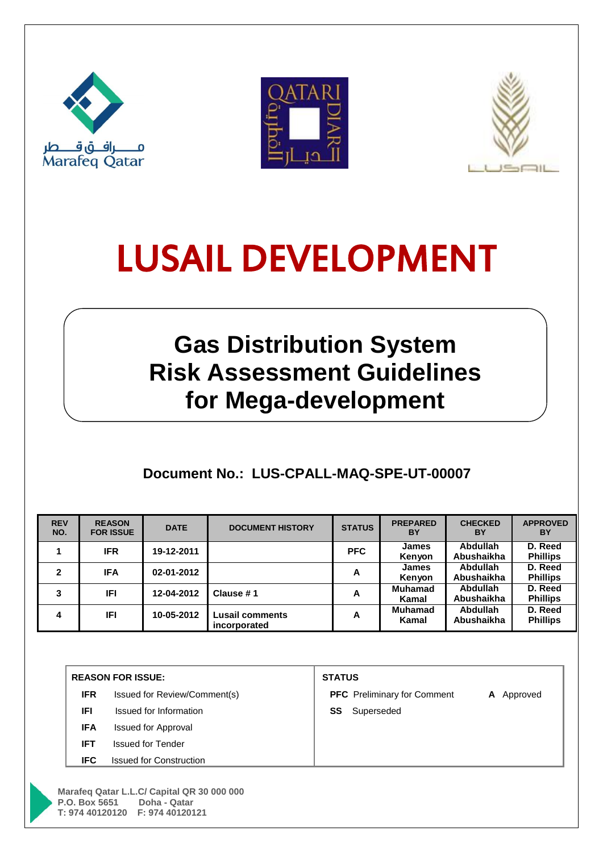





# LUSAIL DEVELOPMENT

## **Gas Distribution System Risk Assessment Guidelines for Mega-development**

## **Document No.: LUS-CPALL-MAQ-SPE-UT-00007**

| <b>REV</b><br>NO. | <b>REASON</b><br><b>FOR ISSUE</b> | <b>DATE</b> | <b>DOCUMENT HISTORY</b>         | <b>STATUS</b> | <b>PREPARED</b><br>BY   | <b>CHECKED</b><br>BY   | <b>APPROVED</b><br>BY      |
|-------------------|-----------------------------------|-------------|---------------------------------|---------------|-------------------------|------------------------|----------------------------|
|                   | <b>IFR</b>                        | 19-12-2011  |                                 | <b>PFC</b>    | <b>James</b><br>Kenvon  | Abdullah<br>Abushaikha | D. Reed<br><b>Phillips</b> |
| 2                 | <b>IFA</b>                        | 02-01-2012  |                                 | A             | <b>James</b><br>Kenvon  | Abdullah<br>Abushaikha | D. Reed<br><b>Phillips</b> |
| 3                 | IFI                               | 12-04-2012  | Clause #1                       | A             | <b>Muhamad</b><br>Kamal | Abdullah<br>Abushaikha | D. Reed<br><b>Phillips</b> |
| 4                 | <b>IFI</b>                        | 10-05-2012  | Lusail comments<br>incorporated | A             | <b>Muhamad</b><br>Kamal | Abdullah<br>Abushaikha | D. Reed<br><b>Phillips</b> |

|            | <b>REASON FOR ISSUE:</b>       | <b>STATUS</b>                      |               |  |  |  |  |
|------------|--------------------------------|------------------------------------|---------------|--|--|--|--|
| <b>IFR</b> | Issued for Review/Comment(s)   | <b>PFC</b> Preliminary for Comment | A<br>Approved |  |  |  |  |
| <b>IFI</b> | Issued for Information         | Superseded<br>SS                   |               |  |  |  |  |
| <b>IFA</b> | <b>Issued for Approval</b>     |                                    |               |  |  |  |  |
| <b>IFT</b> | <b>Issued for Tender</b>       |                                    |               |  |  |  |  |
| IFC.       | <b>Issued for Construction</b> |                                    |               |  |  |  |  |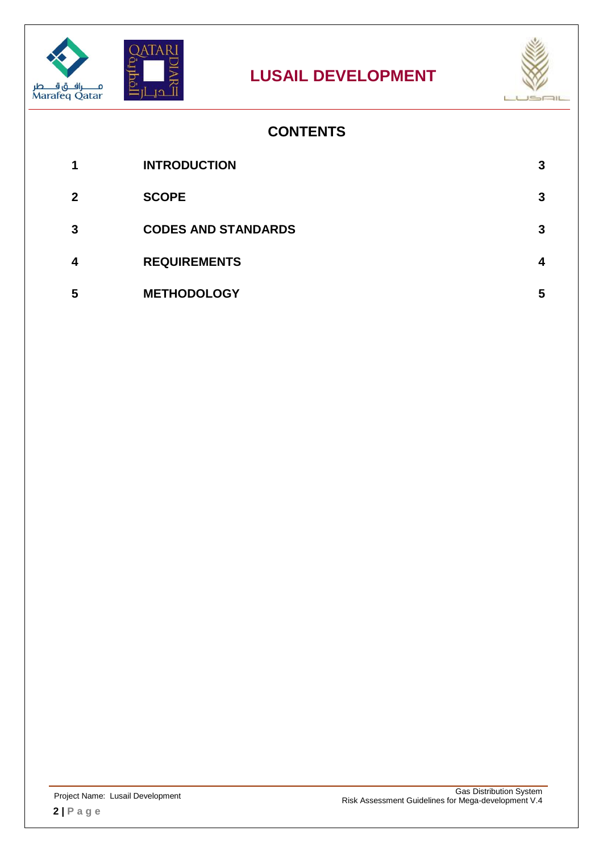





## **CONTENTS**

| 1           | <b>INTRODUCTION</b>        |   |
|-------------|----------------------------|---|
| $\mathbf 2$ | <b>SCOPE</b>               | 3 |
| 3           | <b>CODES AND STANDARDS</b> | 3 |
| 4           | <b>REQUIREMENTS</b>        |   |
| 5           | <b>METHODOLOGY</b>         | 5 |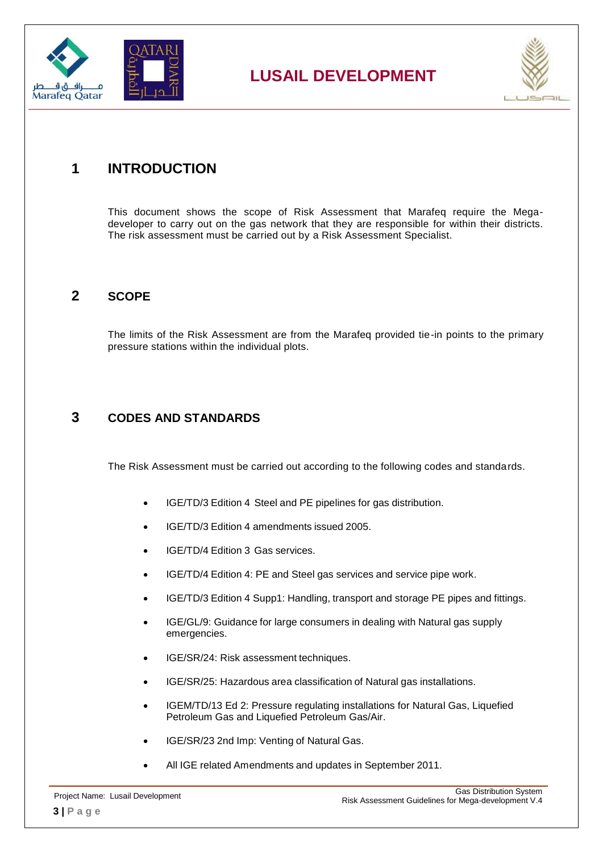

## **LUSAIL DEVELOPMENT**



### <span id="page-2-0"></span>**1 INTRODUCTION**

This document shows the scope of Risk Assessment that Marafeq require the Megadeveloper to carry out on the gas network that they are responsible for within their districts. The risk assessment must be carried out by a Risk Assessment Specialist.

#### <span id="page-2-1"></span>**2 SCOPE**

The limits of the Risk Assessment are from the Marafeq provided tie-in points to the primary pressure stations within the individual plots.

#### <span id="page-2-2"></span>**3 CODES AND STANDARDS**

The Risk Assessment must be carried out according to the following codes and standards.

- IGE/TD/3 Edition 4 Steel and PE pipelines for gas distribution.
- IGE/TD/3 Edition 4 amendments issued 2005.
- IGE/TD/4 Edition 3 Gas services.
- IGE/TD/4 Edition 4: PE and Steel gas services and service pipe work.
- IGE/TD/3 Edition 4 Supp1: Handling, transport and storage PE pipes and fittings.
- IGE/GL/9: Guidance for large consumers in dealing with Natural gas supply emergencies.
- IGE/SR/24: Risk assessment techniques.
- IGE/SR/25: Hazardous area classification of Natural gas installations.
- IGEM/TD/13 Ed 2: Pressure regulating installations for Natural Gas, Liquefied Petroleum Gas and Liquefied Petroleum Gas/Air.
- IGE/SR/23 2nd Imp: Venting of Natural Gas.
- All IGE related Amendments and updates in September 2011.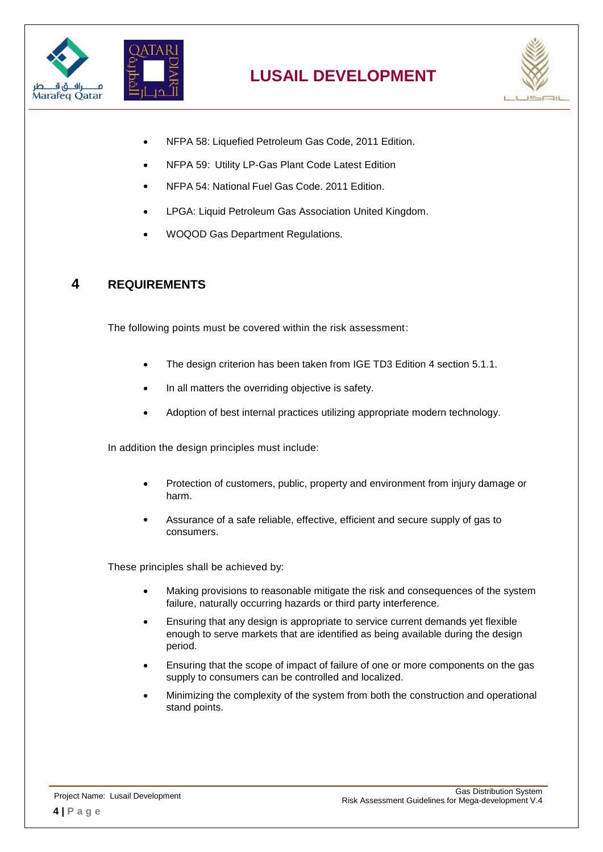



- NFPA 58: Liquefied Petroleum Gas Code, 2011 Edition.
- NFPA 59: Utility LP-Gas Plant Code Latest Edition
- NFPA 54: National Fuel Gas Code. 2011 Edition.
- LPGA: Liquid Petroleum Gas Association United Kingdom.
- WOQOD Gas Department Regulations.

#### <span id="page-3-0"></span>**4 REQUIREMENTS**

The following points must be covered within the risk assessment:

- The design criterion has been taken from IGE TD3 Edition 4 section 5.1.1.
- In all matters the overriding objective is safety.
- Adoption of best internal practices utilizing appropriate modern technology.

In addition the design principles must include:

- Protection of customers, public, property and environment from injury damage or harm.
- Assurance of a safe reliable, effective, efficient and secure supply of gas to consumers.

These principles shall be achieved by:

- Making provisions to reasonable mitigate the risk and consequences of the system failure, naturally occurring hazards or third party interference.
- Ensuring that any design is appropriate to service current demands yet flexible enough to serve markets that are identified as being available during the design period.
- Ensuring that the scope of impact of failure of one or more components on the gas supply to consumers can be controlled and localized.
- Minimizing the complexity of the system from both the construction and operational stand points.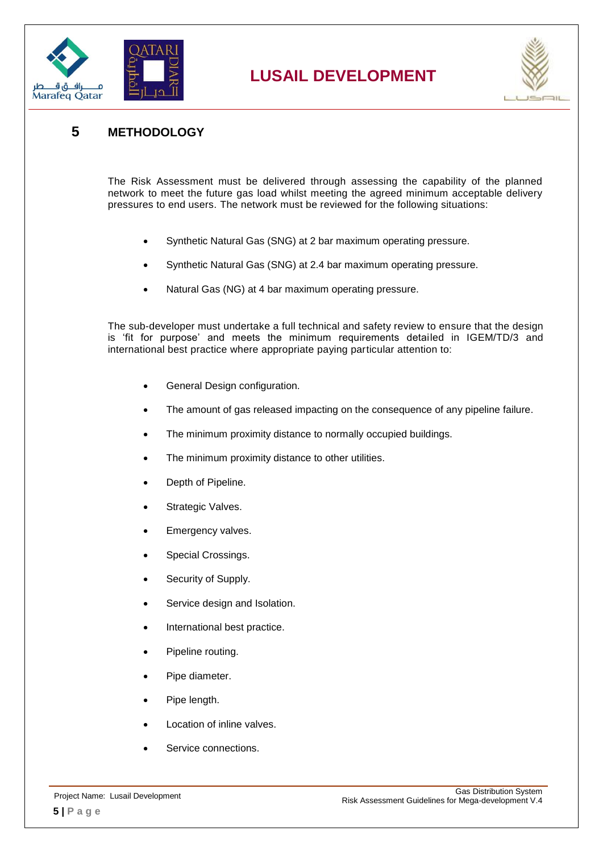

## **LUSAIL DEVELOPMENT**



#### <span id="page-4-0"></span>**5 METHODOLOGY**

The Risk Assessment must be delivered through assessing the capability of the planned network to meet the future gas load whilst meeting the agreed minimum acceptable delivery pressures to end users. The network must be reviewed for the following situations:

- Synthetic Natural Gas (SNG) at 2 bar maximum operating pressure.
- Synthetic Natural Gas (SNG) at 2.4 bar maximum operating pressure.
- Natural Gas (NG) at 4 bar maximum operating pressure.

The sub-developer must undertake a full technical and safety review to ensure that the design is 'fit for purpose' and meets the minimum requirements detailed in IGEM/TD/3 and international best practice where appropriate paying particular attention to:

- General Design configuration.
- The amount of gas released impacting on the consequence of any pipeline failure.
- The minimum proximity distance to normally occupied buildings.
- The minimum proximity distance to other utilities.
- Depth of Pipeline.
- Strategic Valves.
- Emergency valves.
- Special Crossings.
- Security of Supply.
- Service design and Isolation.
- International best practice.
- Pipeline routing.
- Pipe diameter.
- Pipe length.
- Location of inline valves.
- Service connections.